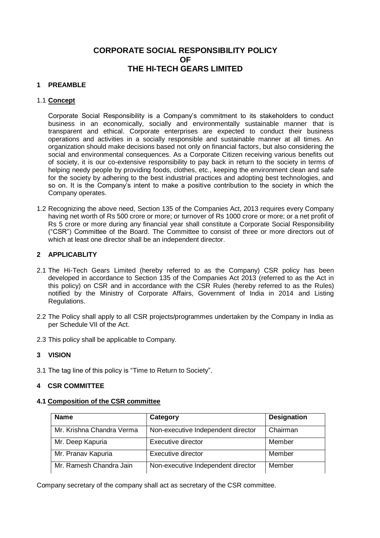**CORPORATE SOCIAL RESPONSIBILITY POLICY OF THE HI-TECH GEARS LIMITED**

# **1 PREAMBLE**

#### 1.1 **Concept**

Corporate Social Responsibility is a Company's commitment to its stakeholders to conduct business in an economically, socially and environmentally sustainable manner that is transparent and ethical. Corporate enterprises are expected to conduct their business operations and activities in a socially responsible and sustainable manner at all times. An organization should make decisions based not only on financial factors, but also considering the social and environmental consequences. As a Corporate Citizen receiving various benefits out of society, it is our co-extensive responsibility to pay back in return to the society in terms of helping needy people by providing foods, clothes, etc., keeping the environment clean and safe for the society by adhering to the best industrial practices and adopting best technologies, and so on. It is the Company's intent to make a positive contribution to the society in which the Company operates.

1.2 Recognizing the above need, Section 135 of the Companies Act, 2013 requires every Company having net worth of Rs 500 crore or more; or turnover of Rs 1000 crore or more; or a net profit of Rs 5 crore or more during any financial year shall constitute a Corporate Social Responsibility ("CSR") Committee of the Board. The Committee to consist of three or more directors out of which at least one director shall be an independent director.

# **2 APPLICABLITY**

- 2.1 The Hi-Tech Gears Limited (hereby referred to as the Company) CSR policy has been developed in accordance to Section 135 of the Companies Act 2013 (referred to as the Act in this policy) on CSR and in accordance with the CSR Rules (hereby referred to as the Rules) notified by the Ministry of Corporate Affairs, Government of India in 2014 and Listing Regulations.
- 2.2 The Policy shall apply to all CSR projects/programmes undertaken by the Company in India as per Schedule VII of the Act.
- 2.3 This policy shall be applicable to Company.

# **3 VISION**

3.1 The tag line of this policy is "Time to Return to Society".

#### **4 CSR COMMITTEE**

#### **4.1 Composition of the CSR committee**

| <b>Name</b>               | Category                           | <b>Designation</b> |
|---------------------------|------------------------------------|--------------------|
| Mr. Krishna Chandra Verma | Non-executive Independent director | Chairman           |
| Mr. Deep Kapuria          | Executive director                 | Member             |
| Mr. Pranav Kapuria        | Executive director                 | Member             |
| Mr. Ramesh Chandra Jain   | Non-executive Independent director | Member             |

Company secretary of the company shall act as secretary of the CSR committee.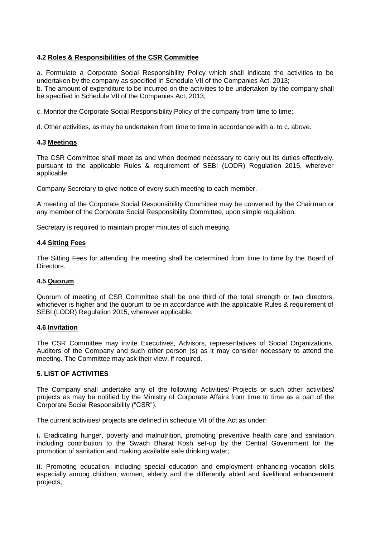# **4.2 Roles & Responsibilities of the CSR Committee**

a. Formulate a Corporate Social Responsibility Policy which shall indicate the activities to be undertaken by the company as specified in Schedule VII of the Companies Act, 2013; b. The amount of expenditure to be incurred on the activities to be undertaken by the company shall be specified in Schedule VII of the Companies Act, 2013;

c. Monitor the Corporate Social Responsibility Policy of the company from time to time;

d. Other activities, as may be undertaken from time to time in accordance with a. to c. above.

#### **4.3 Meetings**

The CSR Committee shall meet as and when deemed necessary to carry out its duties effectively, pursuant to the applicable Rules & requirement of SEBI (LODR) Regulation 2015, wherever applicable.

Company Secretary to give notice of every such meeting to each member.

A meeting of the Corporate Social Responsibility Committee may be convened by the Chairman or any member of the Corporate Social Responsibility Committee, upon simple requisition.

Secretary is required to maintain proper minutes of such meeting.

#### **4.4 Sitting Fees**

The Sitting Fees for attending the meeting shall be determined from time to time by the Board of Directors.

#### **4.5 Quorum**

Quorum of meeting of CSR Committee shall be one third of the total strength or two directors, whichever is higher and the quorum to be in accordance with the applicable Rules & requirement of SEBI (LODR) Regulation 2015, wherever applicable.

#### **4.6 Invitation**

The CSR Committee may invite Executives, Advisors, representatives of Social Organizations, Auditors of the Company and such other person (s) as it may consider necessary to attend the meeting. The Committee may ask their view, if required.

# **5. LIST OF ACTIVITIES**

The Company shall undertake any of the following Activities/ Projects or such other activities/ projects as may be notified by the Ministry of Corporate Affairs from time to time as a part of the Corporate Social Responsibility ("CSR").

The current activities/ projects are defined in schedule VII of the Act as under:

**i.** Eradicating hunger, poverty and malnutrition, promoting preventive health care and sanitation including contribution to the Swach Bharat Kosh set-up by the Central Government for the promotion of sanitation and making available safe drinking water;

**ii.** Promoting education, including special education and employment enhancing vocation skills especially among children, women, elderly and the differently abled and livelihood enhancement projects;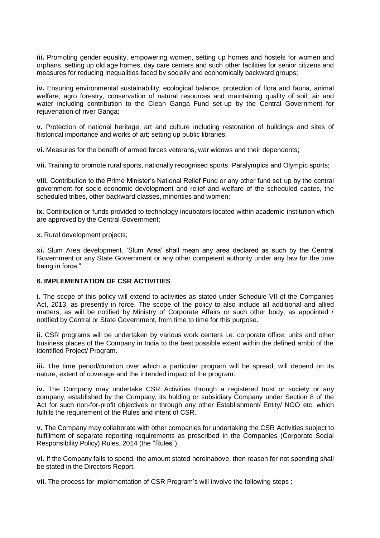**iii.** Promoting gender equality, empowering women, setting up homes and hostels for women and orphans, setting up old age homes, day care centers and such other facilities for senior citizens and measures for reducing inequalities faced by socially and economically backward groups;

**iv.** Ensuring environmental sustainability, ecological balance, protection of flora and fauna, animal welfare, agro forestry, conservation of natural resources and maintaining quality of soil, air and water including contribution to the Clean Ganga Fund set-up by the Central Government for rejuvenation of river Ganga;

**v.** Protection of national heritage, art and culture including restoration of buildings and sites of historical importance and works of art; setting up public libraries;

**vi.** Measures for the benefit of armed forces veterans, war widows and their dependents;

**vii.** Training to promote rural sports, nationally recognised sports, Paralympics and Olympic sports;

**viii.** Contribution to the Prime Minister's National Relief Fund or any other fund set up by the central government for socio-economic development and relief and welfare of the scheduled castes, the scheduled tribes, other backward classes, minorities and women;

**ix.** Contribution or funds provided to technology incubators located within academic institution which are approved by the Central Government;

**x.** Rural development projects;

**xi.** Slum Area development. 'Slum Area' shall mean any area declared as such by the Central Government or any State Government or any other competent authority under any law for the time being in force."

# **6. IMPLEMENTATION OF CSR ACTIVITIES**

**i.** The scope of this policy will extend to activities as stated under Schedule VII of the Companies Act, 2013, as presently in force. The scope of the policy to also include all additional and allied matters, as will be notified by Ministry of Corporate Affairs or such other body, as appointed / notified by Central or State Government, from time to time for this purpose.

**ii.** CSR programs will be undertaken by various work centers i.e. corporate office, units and other business places of the Company in India to the best possible extent within the defined ambit of the identified Project/ Program.

**iii.** The time period/duration over which a particular program will be spread, will depend on its nature, extent of coverage and the intended impact of the program.

**iv.** The Company may undertake CSR Activities through a registered trust or society or any company, established by the Company, its holding or subsidiary Company under Section 8 of the Act for such non-for-profit objectives or through any other Establishment/ Entity/ NGO etc. which fulfills the requirement of the Rules and intent of CSR.

**v.** The Company may collaborate with other companies for undertaking the CSR Activities subject to fulfillment of separate reporting requirements as prescribed in the Companies (Corporate Social Responsibility Policy) Rules, 2014 (the "Rules").

**vi.** If the Company fails to spend, the amount stated hereinabove, then reason for not spending shall be stated in the Directors Report.

**vii.** The process for implementation of CSR Program's will involve the following steps :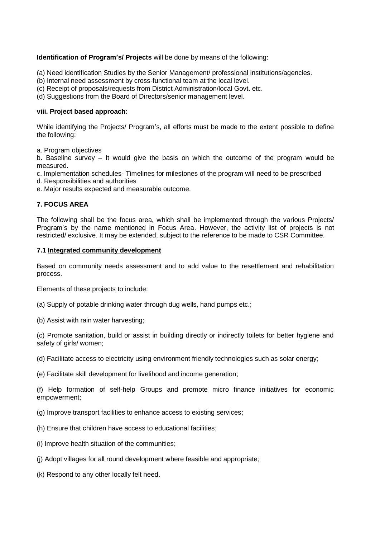# **Identification of Program's/ Projects** will be done by means of the following:

- (a) Need identification Studies by the Senior Management/ professional institutions/agencies.
- (b) Internal need assessment by cross‐functional team at the local level.
- (c) Receipt of proposals/requests from District Administration/local Govt. etc.
- (d) Suggestions from the Board of Directors/senior management level.

# **viii. Project based approach**:

While identifying the Projects/ Program's, all efforts must be made to the extent possible to define the following:

a. Program objectives

b. Baseline survey – It would give the basis on which the outcome of the program would be measured.

- c. Implementation schedules‐ Timelines for milestones of the program will need to be prescribed
- d. Responsibilities and authorities
- e. Major results expected and measurable outcome.

# **7. FOCUS AREA**

The following shall be the focus area, which shall be implemented through the various Projects/ Program's by the name mentioned in Focus Area. However, the activity list of projects is not restricted/ exclusive. It may be extended, subject to the reference to be made to CSR Committee.

#### **7.1 Integrated community development**

Based on community needs assessment and to add value to the resettlement and rehabilitation process.

Elements of these projects to include:

- (a) Supply of potable drinking water through dug wells, hand pumps etc.;
- (b) Assist with rain water harvesting;

(c) Promote sanitation, build or assist in building directly or indirectly toilets for better hygiene and safety of girls/ women;

(d) Facilitate access to electricity using environment friendly technologies such as solar energy;

(e) Facilitate skill development for livelihood and income generation;

(f) Help formation of self-help Groups and promote micro finance initiatives for economic empowerment;

- (g) Improve transport facilities to enhance access to existing services;
- (h) Ensure that children have access to educational facilities;
- (i) Improve health situation of the communities;
- (j) Adopt villages for all round development where feasible and appropriate;
- (k) Respond to any other locally felt need.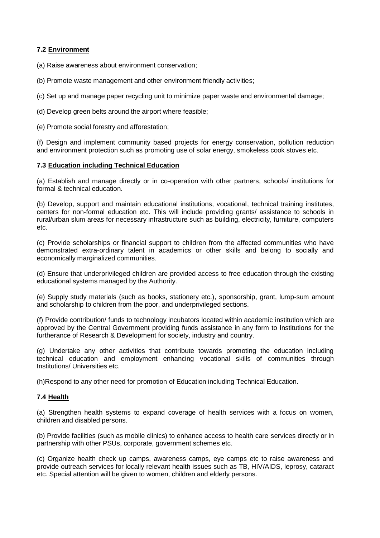# **7.2 Environment**

(a) Raise awareness about environment conservation;

(b) Promote waste management and other environment friendly activities;

(c) Set up and manage paper recycling unit to minimize paper waste and environmental damage;

(d) Develop green belts around the airport where feasible;

(e) Promote social forestry and afforestation;

(f) Design and implement community based projects for energy conservation, pollution reduction and environment protection such as promoting use of solar energy, smokeless cook stoves etc.

# **7.3 Education including Technical Education**

(a) Establish and manage directly or in co-operation with other partners, schools/ institutions for formal & technical education.

(b) Develop, support and maintain educational institutions, vocational, technical training institutes, centers for non-formal education etc. This will include providing grants/ assistance to schools in rural/urban slum areas for necessary infrastructure such as building, electricity, furniture, computers etc.

(c) Provide scholarships or financial support to children from the affected communities who have demonstrated extra-ordinary talent in academics or other skills and belong to socially and economically marginalized communities.

(d) Ensure that underprivileged children are provided access to free education through the existing educational systems managed by the Authority.

(e) Supply study materials (such as books, stationery etc.), sponsorship, grant, lump-sum amount and scholarship to children from the poor, and underprivileged sections.

(f) Provide contribution/ funds to technology incubators located within academic institution which are approved by the Central Government providing funds assistance in any form to Institutions for the furtherance of Research & Development for society, industry and country.

(g) Undertake any other activities that contribute towards promoting the education including technical education and employment enhancing vocational skills of communities through Institutions/ Universities etc.

(h)Respond to any other need for promotion of Education including Technical Education.

# **7.4 Health**

(a) Strengthen health systems to expand coverage of health services with a focus on women, children and disabled persons.

(b) Provide facilities (such as mobile clinics) to enhance access to health care services directly or in partnership with other PSUs, corporate, government schemes etc.

(c) Organize health check up camps, awareness camps, eye camps etc to raise awareness and provide outreach services for locally relevant health issues such as TB, HIV/AIDS, leprosy, cataract etc. Special attention will be given to women, children and elderly persons.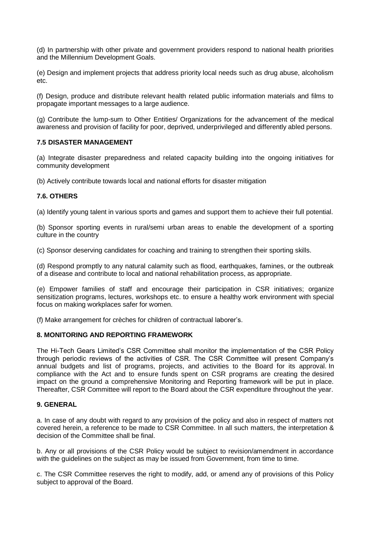(d) In partnership with other private and government providers respond to national health priorities and the Millennium Development Goals.

(e) Design and implement projects that address priority local needs such as drug abuse, alcoholism etc.

(f) Design, produce and distribute relevant health related public information materials and films to propagate important messages to a large audience.

(g) Contribute the lump-sum to Other Entities/ Organizations for the advancement of the medical awareness and provision of facility for poor, deprived, underprivileged and differently abled persons.

#### **7.5 DISASTER MANAGEMENT**

(a) Integrate disaster preparedness and related capacity building into the ongoing initiatives for community development

(b) Actively contribute towards local and national efforts for disaster mitigation

# **7.6. OTHERS**

(a) Identify young talent in various sports and games and support them to achieve their full potential.

(b) Sponsor sporting events in rural/semi urban areas to enable the development of a sporting culture in the country

(c) Sponsor deserving candidates for coaching and training to strengthen their sporting skills.

(d) Respond promptly to any natural calamity such as flood, earthquakes, famines, or the outbreak of a disease and contribute to local and national rehabilitation process, as appropriate.

(e) Empower families of staff and encourage their participation in CSR initiatives; organize sensitization programs, lectures, workshops etc. to ensure a healthy work environment with special focus on making workplaces safer for women.

(f) Make arrangement for crèches for children of contractual laborer's.

# **8. MONITORING AND REPORTING FRAMEWORK**

The Hi-Tech Gears Limited's CSR Committee shall monitor the implementation of the CSR Policy through periodic reviews of the activities of CSR. The CSR Committee will present Company's annual budgets and list of programs, projects, and activities to the Board for its approval. In compliance with the Act and to ensure funds spent on CSR programs are creating the desired impact on the ground a comprehensive Monitoring and Reporting framework will be put in place. Thereafter, CSR Committee will report to the Board about the CSR expenditure throughout the year.

#### **9. GENERAL**

a. In case of any doubt with regard to any provision of the policy and also in respect of matters not covered herein, a reference to be made to CSR Committee. In all such matters, the interpretation & decision of the Committee shall be final.

b. Any or all provisions of the CSR Policy would be subject to revision/amendment in accordance with the guidelines on the subject as may be issued from Government, from time to time.

c. The CSR Committee reserves the right to modify, add, or amend any of provisions of this Policy subject to approval of the Board.